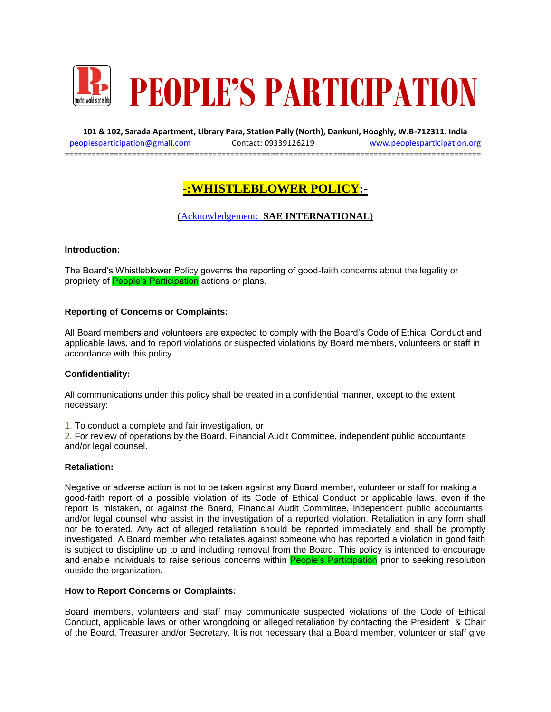

**101 & 102, Sarada Apartment, Library Para, Station Pally (North), Dankuni, Hooghly, W.B-712311. India** [peoplesparticipation@gmail.com](mailto:peoplesparticipation@gmail.com) Contact: 09339126219 [www.peoplesparticipation.org](http://www.peoplesparticipation.org/) =============================================================================================

# **-:WHISTLEBLOWER POLICY:-**

## (Acknowledgement: **SAE INTERNATIONAL**)

#### **Introduction:**

The Board's Whistleblower Policy governs the reporting of good-faith concerns about the legality or propriety of **People's Participation** actions or plans.

#### **Reporting of Concerns or Complaints:**

All Board members and volunteers are expected to comply with the Board's Code of Ethical Conduct and applicable laws, and to report violations or suspected violations by Board members, volunteers or staff in accordance with this policy.

#### **Confidentiality:**

All communications under this policy shall be treated in a confidential manner, except to the extent necessary:

1. To conduct a complete and fair investigation, or

2. For review of operations by the Board, Financial Audit Committee, independent public accountants and/or legal counsel.

#### **Retaliation:**

Negative or adverse action is not to be taken against any Board member, volunteer or staff for making a good-faith report of a possible violation of its Code of Ethical Conduct or applicable laws, even if the report is mistaken, or against the Board, Financial Audit Committee, independent public accountants, and/or legal counsel who assist in the investigation of a reported violation. Retaliation in any form shall not be tolerated. Any act of alleged retaliation should be reported immediately and shall be promptly investigated. A Board member who retaliates against someone who has reported a violation in good faith is subject to discipline up to and including removal from the Board. This policy is intended to encourage and enable individuals to raise serious concerns within People's Participation prior to seeking resolution outside the organization.

#### **How to Report Concerns or Complaints:**

Board members, volunteers and staff may communicate suspected violations of the Code of Ethical Conduct, applicable laws or other wrongdoing or alleged retaliation by contacting the President & Chair of the Board, Treasurer and/or Secretary. It is not necessary that a Board member, volunteer or staff give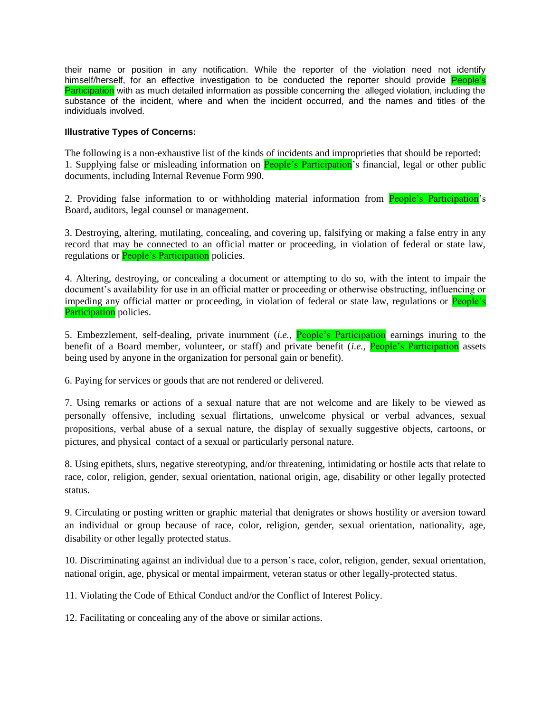their name or position in any notification. While the reporter of the violation need not identify himself/herself, for an effective investigation to be conducted the reporter should provide **People's** Participation with as much detailed information as possible concerning the alleged violation, including the substance of the incident, where and when the incident occurred, and the names and titles of the individuals involved.

### **Illustrative Types of Concerns:**

The following is a non-exhaustive list of the kinds of incidents and improprieties that should be reported: 1. Supplying false or misleading information on **People's Participation**'s financial, legal or other public documents, including Internal Revenue Form 990.

2. Providing false information to or withholding material information from **People's Participation's** Board, auditors, legal counsel or management.

3. Destroying, altering, mutilating, concealing, and covering up, falsifying or making a false entry in any record that may be connected to an official matter or proceeding, in violation of federal or state law, regulations or **People's Participation** policies.

4. Altering, destroying, or concealing a document or attempting to do so, with the intent to impair the document's availability for use in an official matter or proceeding or otherwise obstructing, influencing or impeding any official matter or proceeding, in violation of federal or state law, regulations or **People's** Participation policies.

5. Embezzlement, self-dealing, private inurnment (*i.e.*, People's Participation earnings inuring to the benefit of a Board member, volunteer, or staff) and private benefit (*i.e.,* People's Participation assets being used by anyone in the organization for personal gain or benefit).

6. Paying for services or goods that are not rendered or delivered.

7. Using remarks or actions of a sexual nature that are not welcome and are likely to be viewed as personally offensive, including sexual flirtations, unwelcome physical or verbal advances, sexual propositions, verbal abuse of a sexual nature, the display of sexually suggestive objects, cartoons, or pictures, and physical contact of a sexual or particularly personal nature.

8. Using epithets, slurs, negative stereotyping, and/or threatening, intimidating or hostile acts that relate to race, color, religion, gender, sexual orientation, national origin, age, disability or other legally protected status.

9. Circulating or posting written or graphic material that denigrates or shows hostility or aversion toward an individual or group because of race, color, religion, gender, sexual orientation, nationality, age, disability or other legally protected status.

10. Discriminating against an individual due to a person's race, color, religion, gender, sexual orientation, national origin, age, physical or mental impairment, veteran status or other legally-protected status.

11. Violating the Code of Ethical Conduct and/or the Conflict of Interest Policy.

12. Facilitating or concealing any of the above or similar actions.